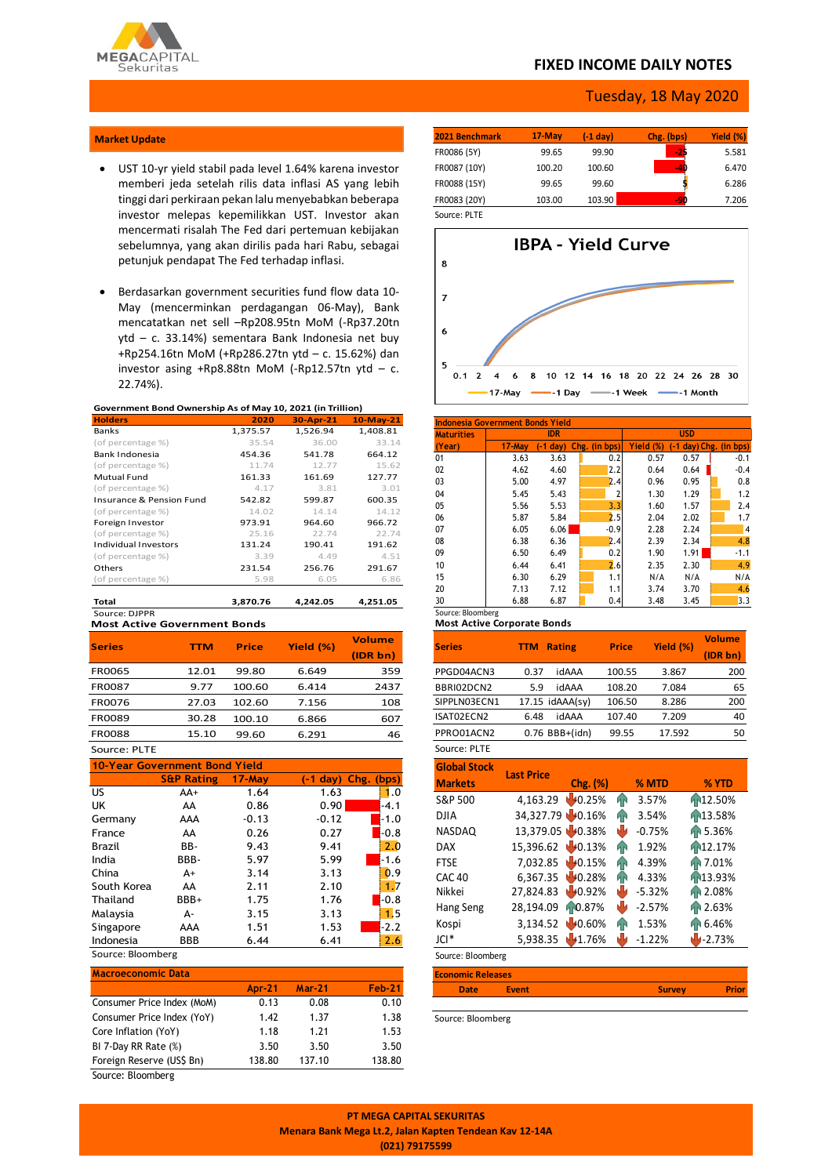

## **FIXED INCOME DAILY NOTES**

### Tuesday, 18 May 2020

#### **Market Update**

- UST 10-yr yield stabil pada level 1.64% karena investor memberi jeda setelah rilis data inflasi AS yang lebih tinggi dari perkiraan pekan lalu menyebabkan beberapa investor melepas kepemilikkan UST. Investor akan mencermati risalah The Fed dari pertemuan kebijakan sebelumnya, yang akan dirilis pada hari Rabu, sebagai petunjuk pendapat The Fed terhadap inflasi.
- Berdasarkan government securities fund flow data 10- May (mencerminkan perdagangan 06-May), Bank mencatatkan net sell –Rp208.95tn MoM (-Rp37.20tn ytd – c. 33.14%) sementara Bank Indonesia net buy +Rp254.16tn MoM (+Rp286.27tn ytd – c. 15.62%) dan investor asing  $+Rp8.88$ tn MoM (-Rp12.57tn ytd – c. 22.74%).

#### **Government Bond Ownership As of May 10, 2021 (in Trillion)**

| <b>Holders</b>           | 2020     | 30-Apr-21 | $10-May-21$ |
|--------------------------|----------|-----------|-------------|
| <b>Banks</b>             | 1,375.57 | 1,526.94  | 1,408.81    |
| (of percentage %)        | 35.54    | 36.00     | 33.14       |
| Bank Indonesia           | 454.36   | 541.78    | 664.12      |
| (of percentage %)        | 11.74    | 12.77     | 15.62       |
| Mutual Fund              | 161.33   | 161.69    | 127.77      |
| (of percentage %)        | 4.17     | 3.81      | 3.01        |
| Insurance & Pension Fund | 542.82   | 599.87    | 600.35      |
| (of percentage %)        | 14.02    | 14.14     | 14.12       |
| Foreign Investor         | 973.91   | 964.60    | 966.72      |
| (of percentage %)        | 25.16    | 22.74     | 22.74       |
| Individual Investors     | 131.24   | 190.41    | 191.62      |
| (of percentage %)        | 3.39     | 4.49      | 4.51        |
| Others                   | 231.54   | 256.76    | 291.67      |
| (of percentage %)        | 5.98     | 6.05      | 6.86        |
| Total                    | 3.870.76 | 4.242.05  | 4.251.05    |

**Most Active Government Bonds** Source: DJPPR

|               |            |              |           | <b>Volume</b> |
|---------------|------------|--------------|-----------|---------------|
| <b>Series</b> | <b>TTM</b> | <b>Price</b> | Yield (%) | (IDR bn)      |
| <b>FR0065</b> | 12.01      | 99.80        | 6.649     | 359           |
| FR0087        | 9.77       | 100.60       | 6.414     | 2437          |
| <b>FR0076</b> | 27.03      | 102.60       | 7.156     | 108           |
| FR0089        | 30.28      | 100.10       | 6.866     | 607           |
| <b>FR0088</b> | 15.10      | 99.60        | 6.291     | 46            |
|               |            |              |           |               |

#### Source: PLTE

| 10-Year Government Bond Yield |                       |           |            |            |  |  |  |  |
|-------------------------------|-----------------------|-----------|------------|------------|--|--|--|--|
|                               | <b>S&amp;P Rating</b> | $17$ -May | $(-1$ day) | Chg. (bps) |  |  |  |  |
| US.                           | $AA+$                 | 1.64      | 1.63       | 1.0        |  |  |  |  |
| UK                            | AA                    | 0.86      | 0.90       | $-4.1$     |  |  |  |  |
| Germany                       | AAA                   | $-0.13$   | $-0.12$    | $-1.0$     |  |  |  |  |
| France                        | AA                    | 0.26      | 0.27       | -0.8       |  |  |  |  |
| Brazil                        | BB-                   | 9.43      | 9.41       | 2.0        |  |  |  |  |
| India                         | BBB-                  | 5.97      | 5.99       | $-1.6$     |  |  |  |  |
| China                         | $A+$                  | 3.14      | 3.13       | 0.9        |  |  |  |  |
| South Korea                   | AA                    | 2.11      | 2.10       | 1.7        |  |  |  |  |
| Thailand                      | BBB+                  | 1.75      | 1.76       | $-0.8$     |  |  |  |  |
| Malaysia                      | А-                    | 3.15      | 3.13       | 1.5        |  |  |  |  |
| Singapore                     | AAA                   | 1.51      | 1.53       | $-2.2$     |  |  |  |  |
| Indonesia                     | BBB                   | 6.44      | 6.41       | 2.6        |  |  |  |  |

# Source: Bloomberg

| <b>Macroeconomic Data</b>  |               |               |               |
|----------------------------|---------------|---------------|---------------|
|                            | <b>Apr-21</b> | <b>Mar-21</b> | <b>Feb-21</b> |
| Consumer Price Index (MoM) | 0.13          | 0.08          | 0.10          |
| Consumer Price Index (YoY) | 1.42          | 1.37          | 1.38          |
| Core Inflation (YoY)       | 1.18          | 1.21          | 1.53          |
| BI 7-Day RR Rate (%)       | 3.50          | 3.50          | 3.50          |
| Foreign Reserve (US\$ Bn)  | 138.80        | 137.10        | 138.80        |
| Source: Bloomberg          |               |               |               |

| 2021 Benchmark | $17-May$ | (-1 day) | Chg. (bps) | Yield (%) |
|----------------|----------|----------|------------|-----------|
| FR0086 (5Y)    | 99.65    | 99.90    | -25        | 5.581     |
| FR0087 (10Y)   | 100.20   | 100.60   | $-40$      | 6.470     |
| FR0088 (15Y)   | 99.65    | 99.60    |            | 6.286     |
| FR0083 (20Y)   | 103.00   | 103.90   | -90        | 7.206     |
| Source: PLTE   |          |          |            |           |



| Indonesia Government Bonds Yield |        |             |               |            |           |                       |  |        |  |
|----------------------------------|--------|-------------|---------------|------------|-----------|-----------------------|--|--------|--|
| <b>Maturities</b>                |        | <b>IDR</b>  |               | <b>USD</b> |           |                       |  |        |  |
| (Year)                           | 17-May | $(-1)$ day) | Chg. (in bps) |            | Yield (%) | -1 day) Chg. (in bps) |  |        |  |
| 01                               | 3.63   | 3.63        |               | 0.2        | 0.57      | 0.57                  |  | $-0.1$ |  |
| 02                               | 4.62   | 4.60        |               | 2.2        | 0.64      | 0.64                  |  | $-0.4$ |  |
| 03                               | 5.00   | 4.97        |               | 2.4        | 0.96      | 0.95                  |  | 0.8    |  |
| 04                               | 5.45   | 5.43        |               | 2          | 1.30      | 1.29                  |  | 1.2    |  |
| 05                               | 5.56   | 5.53        |               | 3.3        | 1.60      | 1.57                  |  | 2.4    |  |
| 06                               | 5.87   | 5.84        |               | 2.5        | 2.04      | 2.02                  |  | 1.7    |  |
| 07                               | 6.05   | 6.06        |               | $-0.9$     | 2.28      | 2.24                  |  | 4      |  |
| 08                               | 6.38   | 6.36        |               | 2.4        | 2.39      | 2.34                  |  | 4.8    |  |
| 09                               | 6.50   | 6.49        |               | 0.2        | 1.90      | 1.91                  |  | $-1.1$ |  |
| 10                               | 6.44   | 6.41        |               | 2.6        | 2.35      | 2.30                  |  | 4.9    |  |
| 15                               | 6.30   | 6.29        |               | 1.1        | N/A       | N/A                   |  | N/A    |  |
| 20                               | 7.13   | 7.12        |               | 1.1        | 3.74      | 3.70                  |  | 4.6    |  |
| 30                               | 6.88   | 6.87        |               | 0.4        | 3.48      | 3.45                  |  | 3.3    |  |
| Source: Bloomberg                |        |             |               |            |           |                       |  |        |  |

#### **Most Active Corporate Bonds**

| <b>Series</b> | <b>Rating</b><br>TTM | <b>Price</b> | Yield (%) | <b>Volume</b><br>(IDR bn) |
|---------------|----------------------|--------------|-----------|---------------------------|
| PPGD04ACN3    | idAAA<br>0.37        | 100.55       | 3.867     | 200                       |
| BBRI02DCN2    | idAAA<br>5.9         | 108.20       | 7.084     | 65                        |
| SIPPLN03ECN1  | 17.15 idAAA(sv)      | 106.50       | 8.286     | 200                       |
| ISAT02ECN2    | idAAA<br>6.48        | 107.40       | 7.209     | 40                        |
| PPRO01ACN2    | $0.76$ BBB+(idn)     | 99.55        | 17.592    | 50                        |
| SOUICA: DI TE |                      |              |           |                           |

#### Source: PLTE

| <b>Global Stock</b>      | <b>Last Price</b> |          |     |          |                      |  |
|--------------------------|-------------------|----------|-----|----------|----------------------|--|
| <b>Markets</b>           |                   | Chg. (%) |     | % MTD    | % YTD                |  |
| S&P 500                  | 4,163.29          | 40.25%   | hР  | 3.57%    | 12.50%               |  |
| DJIA                     | 34,327.79 40.16%  |          | Яñ  | 3.54%    | 13.58%               |  |
| <b>NASDAQ</b>            | 13,379.05 0.38%   |          | ٣V  | $-0.75%$ | AP 5.36%             |  |
| <b>DAX</b>               | 15,396.62 40.13%  |          | Яñ  | 1.92%    | 12.17%               |  |
| <b>FTSE</b>              | 7.032.85          | 40.15%   | hР  | 4.39%    | <b>RR 7.01%</b>      |  |
| <b>CAC 40</b>            | 6.367.35          | 10.28%   | ЙÑ  | 4.33%    | T <sub>13.93</sub> % |  |
| Nikkei                   | 27,824.83         | 40.92%   | N L | $-5.32%$ | AP 2.08%             |  |
| Hang Seng                | 28,194.09         | 10.87%   | w   | $-2.57%$ | AP 2.63%             |  |
| Kospi                    | 3,134.52          | 40.60%   | hР  | 1.53%    | Fr 6.46%             |  |
| $ C ^*$                  | 5,938.35          | 41.76%   |     | $-1.22%$ | $1 - 2.73%$          |  |
| Source: Bloomberg        |                   |          |     |          |                      |  |
| <b>Economic Releases</b> |                   |          |     |          |                      |  |

| Date | <b>Event</b><br><br>. . | <b>Survey</b> | юι |
|------|-------------------------|---------------|----|
|      |                         |               |    |

Source: Bloomberg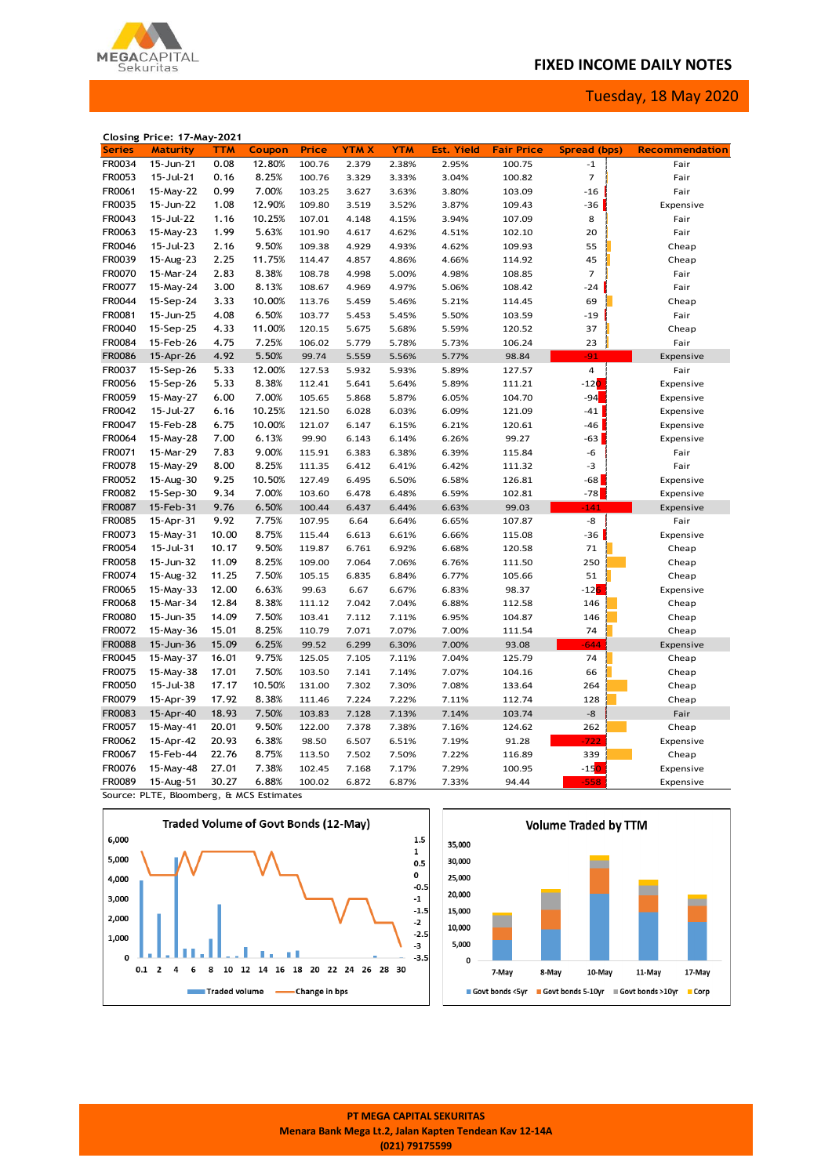# **FIXED INCOME DAILY NOTES**

Tuesday, 18 May 2020



|               | Closing Price: 17-May-2021 |            |        |        |             |            |                   |                   |                         |                       |
|---------------|----------------------------|------------|--------|--------|-------------|------------|-------------------|-------------------|-------------------------|-----------------------|
| <b>Series</b> | <b>Maturity</b>            | <b>TTM</b> | Coupon | Price  | <b>YTMX</b> | <b>YTM</b> | <b>Est. Yield</b> | <b>Fair Price</b> | Spread (bps)            | <b>Recommendation</b> |
| FR0034        | 15-Jun-21                  | 0.08       | 12.80% | 100.76 | 2.379       | 2.38%      | 2.95%             | 100.75            | $^{\mbox{{\small -1}}}$ | Fair                  |
| FR0053        | 15-Jul-21                  | 0.16       | 8.25%  | 100.76 | 3.329       | 3.33%      | 3.04%             | 100.82            | $\overline{7}$          | Fair                  |
| FR0061        | 15-May-22                  | 0.99       | 7.00%  | 103.25 | 3.627       | 3.63%      | 3.80%             | 103.09            | $-16$                   | Fair                  |
| FR0035        | 15-Jun-22                  | 1.08       | 12.90% | 109.80 | 3.519       | 3.52%      | 3.87%             | 109.43            | $-36$                   | Expensive             |
| FR0043        | 15-Jul-22                  | 1.16       | 10.25% | 107.01 | 4.148       | 4.15%      | 3.94%             | 107.09            | 8                       | Fair                  |
| FR0063        | 15-May-23                  | 1.99       | 5.63%  | 101.90 | 4.617       | 4.62%      | 4.51%             | 102.10            | 20                      | Fair                  |
| FR0046        | 15-Jul-23                  | 2.16       | 9.50%  | 109.38 | 4.929       | 4.93%      | 4.62%             | 109.93            | 55                      | Cheap                 |
| FR0039        | 15-Aug-23                  | 2.25       | 11.75% | 114.47 | 4.857       | 4.86%      | 4.66%             | 114.92            | 45                      | Cheap                 |
| FR0070        | 15-Mar-24                  | 2.83       | 8.38%  | 108.78 | 4.998       | 5.00%      | 4.98%             | 108.85            | $\overline{7}$          | Fair                  |
| FR0077        | 15-May-24                  | 3.00       | 8.13%  | 108.67 | 4.969       | 4.97%      | 5.06%             | 108.42            | $-24$                   | Fair                  |
| FR0044        | 15-Sep-24                  | 3.33       | 10.00% | 113.76 | 5.459       | 5.46%      | 5.21%             | 114.45            | 69                      | Cheap                 |
| FR0081        | 15-Jun-25                  | 4.08       | 6.50%  | 103.77 | 5.453       | 5.45%      | 5.50%             | 103.59            | $-19$                   | Fair                  |
| FR0040        | 15-Sep-25                  | 4.33       | 11.00% | 120.15 |             |            |                   |                   | 37                      |                       |
|               |                            |            |        |        | 5.675       | 5.68%      | 5.59%             | 120.52            |                         | Cheap                 |
| FR0084        | 15-Feb-26                  | 4.75       | 7.25%  | 106.02 | 5.779       | 5.78%      | 5.73%             | 106.24            | 23                      | Fair                  |
| <b>FR0086</b> | 15-Apr-26                  | 4.92       | 5.50%  | 99.74  | 5.559       | 5.56%      | 5.77%             | 98.84             | $-91$                   | Expensive             |
| FR0037        | 15-Sep-26                  | 5.33       | 12.00% | 127.53 | 5.932       | 5.93%      | 5.89%             | 127.57            | $\overline{4}$          | Fair                  |
| FR0056        | 15-Sep-26                  | 5.33       | 8.38%  | 112.41 | 5.641       | 5.64%      | 5.89%             | 111.21            | $-120$                  | Expensive             |
| FR0059        | 15-May-27                  | 6.00       | 7.00%  | 105.65 | 5.868       | 5.87%      | 6.05%             | 104.70            | $-94$                   | Expensive             |
| FR0042        | 15-Jul-27                  | 6.16       | 10.25% | 121.50 | 6.028       | 6.03%      | 6.09%             | 121.09            | $-41$                   | Expensive             |
| FR0047        | 15-Feb-28                  | 6.75       | 10.00% | 121.07 | 6.147       | 6.15%      | 6.21%             | 120.61            | $-46$                   | Expensive             |
| FR0064        | 15-May-28                  | 7.00       | 6.13%  | 99.90  | 6.143       | 6.14%      | 6.26%             | 99.27             | $-63$                   | Expensive             |
| FR0071        | 15-Mar-29                  | 7.83       | 9.00%  | 115.91 | 6.383       | 6.38%      | 6.39%             | 115.84            | -6                      | Fair                  |
| FR0078        | 15-May-29                  | 8.00       | 8.25%  | 111.35 | 6.412       | 6.41%      | 6.42%             | 111.32            | -3                      | Fair                  |
| FR0052        | 15-Aug-30                  | 9.25       | 10.50% | 127.49 | 6.495       | 6.50%      | 6.58%             | 126.81            | $-68$                   | Expensive             |
| FR0082        | 15-Sep-30                  | 9.34       | 7.00%  | 103.60 | 6.478       | 6.48%      | 6.59%             | 102.81            | $-78$                   | Expensive             |
| FR0087        | 15-Feb-31                  | 9.76       | 6.50%  | 100.44 | 6.437       | 6.44%      | 6.63%             | 99.03             | 141                     | Expensive             |
| FR0085        | 15-Apr-31                  | 9.92       | 7.75%  | 107.95 | 6.64        | 6.64%      | 6.65%             | 107.87            | -8                      | Fair                  |
| FR0073        | 15-May-31                  | 10.00      | 8.75%  | 115.44 | 6.613       | 6.61%      | 6.66%             | 115.08            | $-36$                   | Expensive             |
| FR0054        | 15-Jul-31                  | 10.17      | 9.50%  | 119.87 | 6.761       | 6.92%      | 6.68%             | 120.58            | 71                      | Cheap                 |
| FR0058        | 15-Jun-32                  | 11.09      | 8.25%  | 109.00 | 7.064       | 7.06%      | 6.76%             | 111.50            | 250                     | Cheap                 |
| FR0074        | 15-Aug-32                  | 11.25      | 7.50%  | 105.15 | 6.835       | 6.84%      | 6.77%             | 105.66            | 51                      | Cheap                 |
| FR0065        | 15-May-33                  | 12.00      | 6.63%  | 99.63  | 6.67        | 6.67%      | 6.83%             | 98.37             | $-126$                  | Expensive             |
| FR0068        | 15-Mar-34                  | 12.84      | 8.38%  | 111.12 | 7.042       | 7.04%      | 6.88%             | 112.58            | 146                     | Cheap                 |
| FR0080        | 15-Jun-35                  | 14.09      | 7.50%  | 103.41 | 7.112       | 7.11%      | 6.95%             | 104.87            | 146                     | Cheap                 |
| FR0072        | 15-May-36                  | 15.01      | 8.25%  | 110.79 | 7.071       | 7.07%      | 7.00%             | 111.54            | 74                      | Cheap                 |
| <b>FR0088</b> | 15-Jun-36                  | 15.09      | 6.25%  | 99.52  | 6.299       | 6.30%      | 7.00%             | 93.08             | $-644$                  | Expensive             |
| FR0045        | 15-May-37                  | 16.01      | 9.75%  | 125.05 | 7.105       | 7.11%      | 7.04%             | 125.79            | 74                      | Cheap                 |
| FR0075        | 15-May-38                  | 17.01      | 7.50%  | 103.50 | 7.141       | 7.14%      | 7.07%             | 104.16            | 66                      |                       |
|               |                            |            |        |        |             |            |                   |                   |                         | Cheap                 |
| <b>FR0050</b> | 15-Jul-38                  | 17.17      | 10.50% | 131.00 | 7.302       | 7.30%      | 7.08%             | 133.64            | 264                     | Cheap                 |
| FR0079        | 15-Apr-39                  | 17.92      | 8.38%  | 111.46 | 7.224       | 7.22%      | 7.11%             | 112.74            | 128                     | Cheap                 |
| FR0083        | 15-Apr-40                  | 18.93      | 7.50%  | 103.83 | 7.128       | 7.13%      | 7.14%             | 103.74            | -8                      | Fair                  |
| FR0057        | 15-May-41                  | 20.01      | 9.50%  | 122.00 | 7.378       | 7.38%      | 7.16%             | 124.62            | 262                     | Cheap                 |
| FR0062        | 15-Apr-42                  | 20.93      | 6.38%  | 98.50  | 6.507       | 6.51%      | 7.19%             | 91.28             | $-722$                  | Expensive             |
| FR0067        | 15-Feb-44                  | 22.76      | 8.75%  | 113.50 | 7.502       | 7.50%      | 7.22%             | 116.89            | 339                     | Cheap                 |
| FR0076        | 15-May-48                  | 27.01      | 7.38%  | 102.45 | 7.168       | 7.17%      | 7.29%             | 100.95            | $-150$                  | Expensive             |
| FR0089        | 15-Aug-51                  | 30.27      | 6.88%  | 100.02 | 6.872       | 6.87%      | 7.33%             | 94.44             | $-558$                  | Expensive             |

Source: PLTE, Bloomberg, & MCS Estimates





**PT MEGA CAPITAL SEKURITAS Menara Bank Mega Lt.2, Jalan Kapten Tendean Kav 12-14A (021) 79175599**